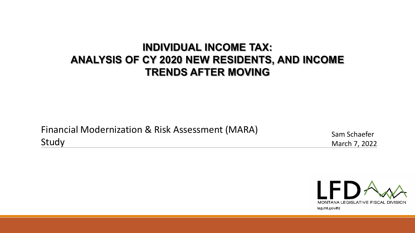#### **INDIVIDUAL INCOME TAX: ANALYSIS OF CY 2020 NEW RESIDENTS, AND INCOME TRENDS AFTER MOVING**

Financial Modernization & Risk Assessment (MARA) Study

Sam Schaefer March 7, 2022

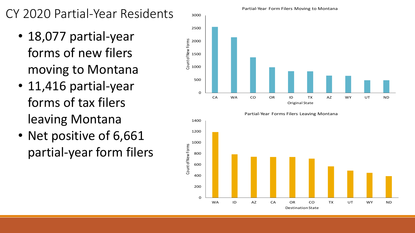# CY 2020 Partial-Year Residents

- 18,077 partial-year forms of new filers moving to Montana
- 11,416 partial-year forms of tax filers leaving Montana
- Net positive of 6,661 partial-year form filers





#### Partial-Year Form Filers Moving to Montana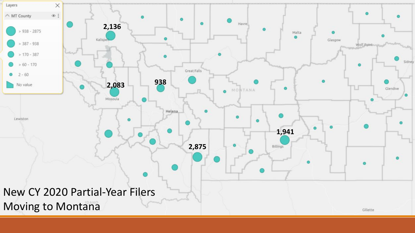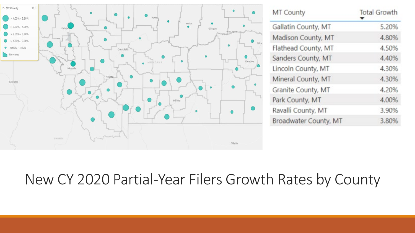

| MT County             | <b>Total Growth</b> |  |  |
|-----------------------|---------------------|--|--|
| Gallatin County, MT   | 5.20%               |  |  |
| Madison County, MT    | 4.80%               |  |  |
| Flathead County, MT   | 4.50%               |  |  |
| Sanders County, MT    | 4.40%               |  |  |
| Lincoln County, MT    | 4.30%               |  |  |
| Mineral County, MT    | 4.30%               |  |  |
| Granite County, MT    | 4.20%               |  |  |
| Park County, MT       | 4.00%               |  |  |
| Ravalli County, MT    | 3.90%               |  |  |
| Broadwater County, MT | 3.80%               |  |  |

# New CY 2020 Partial-Year Filers Growth Rates by County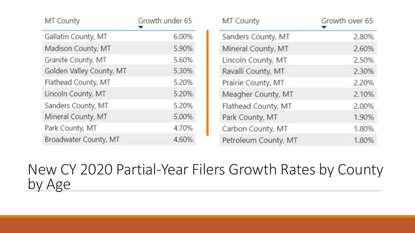| MT County                | Growth under 65 | MT County            | Growth over 65 |  |
|--------------------------|-----------------|----------------------|----------------|--|
| Gallatin County, MT      | 6.00%           | Sanders County, MT   | 2.80%          |  |
| Madison County, MT       | 5.90%           | Mineral County, MT   | 2.60%          |  |
| Granite County, MT       | 5.60%           | Lincoln County, MT   | 2.50%          |  |
| Golden Valley County, MT | 5.30%           | Ravalli County, MT   | 2.30%          |  |
| Flathead County, MT      | 5.20%           | Prairie County, MT   | 2.20%          |  |
| Lincoln County, MT       | 5.20%           | Meagher County, MT   | 2.10%          |  |
| Sanders County, MT       | 5.20%           | Flathead County, MT  | 2.00%          |  |
| Mineral County, MT       | 5.00%           | Park County, MT      | 1.90%          |  |
| Park County, MT          | 4.70%           | Carbon County, MT    | 1.80%          |  |
| Broadwater County, MT    | 4.60%           | Petroleum County, MT | 1.80%          |  |

# New CY 2020 Partial-Year Filers Growth Rates by County by Age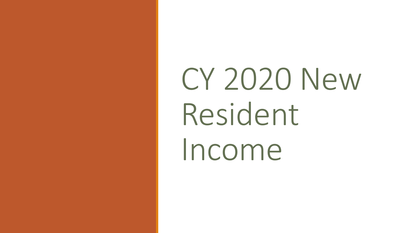CY 2020 New Resident Income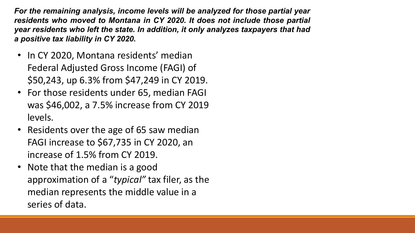*For the remaining analysis, income levels will be analyzed for those partial year residents who moved to Montana in CY 2020. It does not include those partial year residents who left the state. In addition, it only analyzes taxpayers that had a positive tax liability in CY 2020.*

- In CY 2020, Montana residents' median Federal Adjusted Gross Income (FAGI) of \$50,243, up 6.3% from \$47,249 in CY 2019.
- For those residents under 65, median FAGI was \$46,002, a 7.5% increase from CY 2019 levels.
- Residents over the age of 65 saw median FAGI increase to \$67,735 in CY 2020, an increase of 1.5% from CY 2019.
- Note that the median is a good approximation of a "*typical"* tax filer, as the median represents the middle value in a series of data.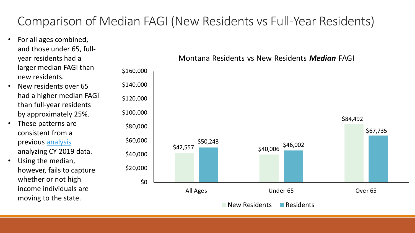### Comparison of Median FAGI (New Residents vs Full-Year Residents)

- For all ages combined, and those under 65, fullyear residents had a larger median FAGI than new residents.
- New residents over 65 had a higher median FAGI than full-year residents by approximately 25%.
- These patterns are consistent from a previous [analysis](https://leg.mt.gov/content/publications/fiscal/2023-Interim/Aug-2021/Income-Tax-Non-partial-resident.pdf) analyzing CY 2019 data.
- Using the median, however, fails to capture whether or not high income individuals are moving to the state.

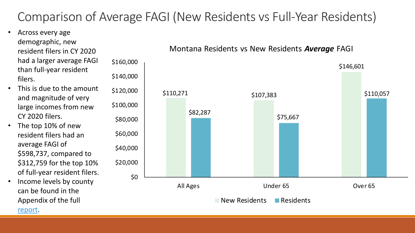### Comparison of Average FAGI (New Residents vs Full-Year Residents)

- Across every age demographic, new resident filers in CY 2020 had a larger average FAGI than full-year resident filers.
- This is due to the amount and magnitude of very large incomes from new CY 2020 filers.
- The top 10% of new resident filers had an average FAGI of \$598,737, compared to \$312,759 for the top 10% of full-year resident filers.
- Income levels by county can be found in the Appendix of the full [report](https://leg.mt.gov/content/publications/fiscal/2023-Interim/March-2022/mara-march-2022.pdf).



#### Montana Residents vs New Residents *Average* FAGI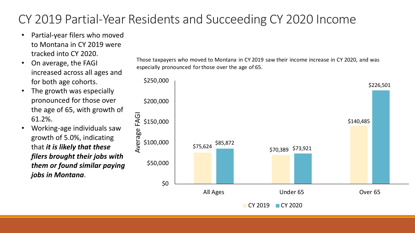# CY 2019 Partial-Year Residents and Succeeding CY 2020 Income

- Partial-year filers who moved to Montana in CY 2019 were tracked into CY 2020.
- On average, the FAGI increased across all ages and for both age cohorts.
- The growth was especially pronounced for those over the age of 65, with growth of 61.2%.
- Working-age individuals saw growth of 5.0%, indicating that *it is likely that these filers brought their jobs with them or found similar paying jobs in Montana*.

Those taxpayers who moved to Montana in CY 2019 saw their income increase in CY 2020, and was especially pronounced for those over the age of 65.

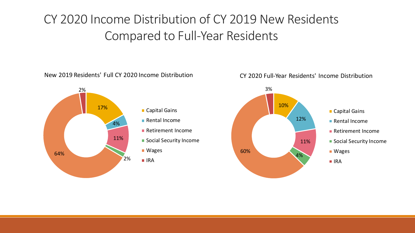# CY 2020 Income Distribution of CY 2019 New Residents Compared to Full-Year Residents

New 2019 Residents' Full CY 2020 Income Distribution



#### CY 2020 Full-Year Residents' Income Distribution

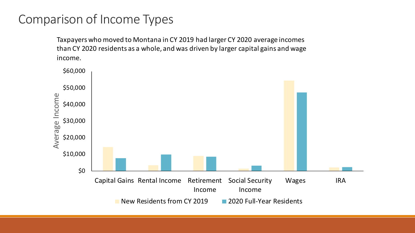#### Comparison of Income Types

Taxpayers who moved to Montana in CY 2019 had larger CY 2020 average incomes than CY 2020 residents as a whole, and was driven by larger capital gains and wage income.

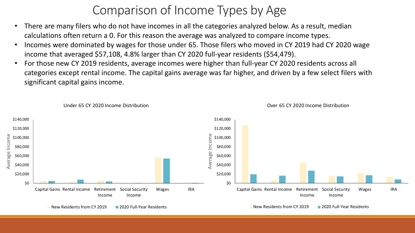### Comparison of Income Types by Age

- There are many filers who do not have incomes in all the categories analyzed below. As a result, median calculations often return a 0. For this reason the average was analyzed to compare income types.
- Incomes were dominated by wages for those under 65. Those filers who moved in CY 2019 had CY 2020 wage income that averaged \$57,108, 4.8% larger than CY 2020 full-year residents (\$54,479).
- For those new CY 2019 residents, average incomes were higher than full-year CY 2020 residents across all categories except rental income. The capital gains average was far higher, and driven by a few select filers with significant capital gains income.

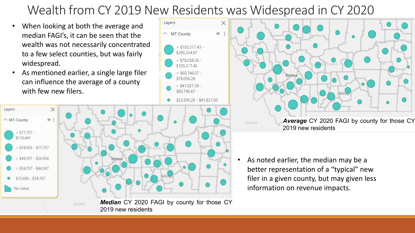### Wealth from CY 2019 New Residents was Widespread in CY 2020

Layers

- When looking at both the average and median FAGI's, it can be seen that the wealth was not necessarily concentrated to a few select counties, but was fairly widespread.
- As mentioned earlier, a single large filer can influence the average of a county with few new filers.





• As noted earlier, the median may be a better representation of a "typical" new filer in a given county, but may given less information on revenue impacts.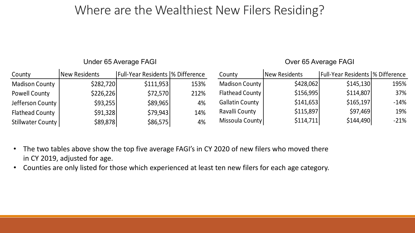#### Where are the Wealthiest New Filers Residing?

Under 65 Average FAGI

Over 65 Average FAGI

| County                 | New Residents | <b>IFull-Year Residents  % Difference</b> |      | County                 | New Residents | <b>Full-Year Residents  % Difference</b> |        |
|------------------------|---------------|-------------------------------------------|------|------------------------|---------------|------------------------------------------|--------|
| <b>Madison County</b>  | \$282,720     | \$111,953                                 | 153% | Madison County         | \$428,062     | \$145,130                                | 195%   |
| Powell County          | \$226,226     | \$72,570                                  | 212% | Flathead County        | \$156,995     | \$114,807                                | 37%    |
| Jefferson County       | \$93,255      | \$89,965                                  | 4%   | <b>Gallatin County</b> | \$141,653     | \$165,197                                | $-14%$ |
| <b>Flathead County</b> | \$91,328      | \$79,943                                  | 14%  | Ravalli County         | \$115,897     | \$97,469                                 | 19%    |
| Stillwater County      | \$89,878      | \$86,575                                  | 4%   | Missoula County        | \$114,711     | \$144,490                                | $-21%$ |

- The two tables above show the top five average FAGI's in CY 2020 of new filers who moved there in CY 2019, adjusted for age.
- Counties are only listed for those which experienced at least ten new filers for each age category.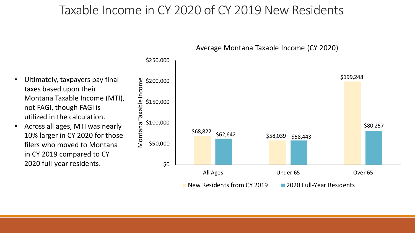#### Taxable Income in CY 2020 of CY 2019 New Residents



Average Montana Taxable Income (CY 2020)

- Ultimately, taxpayers pay final taxes based upon their Montana Taxable Income (MTI), not FAGI, though FAGI is utilized in the calculation.
- Across all ages, MTI was nearly 10% larger in CY 2020 for those filers who moved to Montana in CY 2019 compared to CY 2020 full-year residents.  $\qquad \qquad$  \$0